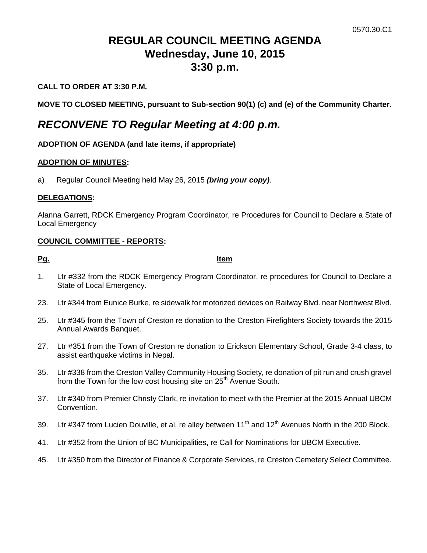# **REGULAR COUNCIL MEETING AGENDA Wednesday, June 10, 2015 3:30 p.m.**

### **CALL TO ORDER AT 3:30 P.M.**

**MOVE TO CLOSED MEETING, pursuant to Sub-section 90(1) (c) and (e) of the Community Charter.**

## *RECONVENE TO Regular Meeting at 4:00 p.m.*

#### **ADOPTION OF AGENDA (and late items, if appropriate)**

#### **ADOPTION OF MINUTES:**

a) Regular Council Meeting held May 26, 2015 *(bring your copy)*.

#### **DELEGATIONS:**

Alanna Garrett, RDCK Emergency Program Coordinator, re Procedures for Council to Declare a State of Local Emergency

#### **COUNCIL COMMITTEE - REPORTS:**

**Pg. Item**

- 1. Ltr #332 from the RDCK Emergency Program Coordinator, re procedures for Council to Declare a State of Local Emergency.
- 23. Ltr #344 from Eunice Burke, re sidewalk for motorized devices on Railway Blvd. near Northwest Blvd.
- 25. Ltr #345 from the Town of Creston re donation to the Creston Firefighters Society towards the 2015 Annual Awards Banquet.
- 27. Ltr #351 from the Town of Creston re donation to Erickson Elementary School, Grade 3-4 class, to assist earthquake victims in Nepal.
- 35. Ltr #338 from the Creston Valley Community Housing Society, re donation of pit run and crush gravel from the Town for the low cost housing site on 25<sup>th</sup> Avenue South.
- 37. Ltr #340 from Premier Christy Clark, re invitation to meet with the Premier at the 2015 Annual UBCM Convention.
- 39. Ltr #347 from Lucien Douville, et al, re alley between 11<sup>th</sup> and 12<sup>th</sup> Avenues North in the 200 Block.
- 41. Ltr #352 from the Union of BC Municipalities, re Call for Nominations for UBCM Executive.
- 45. Ltr #350 from the Director of Finance & Corporate Services, re Creston Cemetery Select Committee.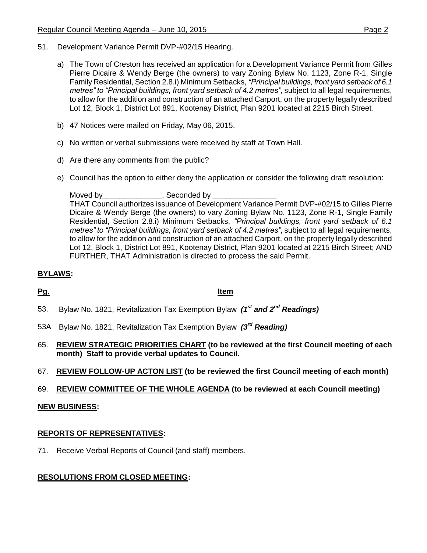- 51. Development Variance Permit DVP-#02/15 Hearing.
	- a) The Town of Creston has received an application for a Development Variance Permit from Gilles Pierre Dicaire & Wendy Berge (the owners) to vary Zoning Bylaw No. 1123, Zone R-1, Single Family Residential, Section 2.8.i) Minimum Setbacks, *"Principal buildings, front yard setback of 6.1 metres" to "Principal buildings, front yard setback of 4.2 metres"*, subject to all legal requirements, to allow for the addition and construction of an attached Carport, on the property legally described Lot 12, Block 1, District Lot 891, Kootenay District, Plan 9201 located at 2215 Birch Street.
	- b) 47 Notices were mailed on Friday, May 06, 2015.
	- c) No written or verbal submissions were received by staff at Town Hall.
	- d) Are there any comments from the public?
	- e) Council has the option to either deny the application or consider the following draft resolution:

Moved by\_\_\_\_\_\_\_\_\_\_\_\_\_\_\_\_, Seconded by \_ THAT Council authorizes issuance of Development Variance Permit DVP-#02/15 to Gilles Pierre Dicaire & Wendy Berge (the owners) to vary Zoning Bylaw No. 1123, Zone R-1, Single Family Residential, Section 2.8.i) Minimum Setbacks, *"Principal buildings, front yard setback of 6.1 metres" to "Principal buildings, front yard setback of 4.2 metres"*, subject to all legal requirements, to allow for the addition and construction of an attached Carport, on the property legally described Lot 12, Block 1, District Lot 891, Kootenay District, Plan 9201 located at 2215 Birch Street; AND FURTHER, THAT Administration is directed to process the said Permit.

### **BYLAWS:**

#### **Pg. Item**

- 53. Bylaw No. 1821, Revitalization Tax Exemption Bylaw *(1st and 2nd Readings)*
- 53A Bylaw No. 1821, Revitalization Tax Exemption Bylaw *(3rd Reading)*
- 65. **REVIEW STRATEGIC PRIORITIES CHART (to be reviewed at the first Council meeting of each month) Staff to provide verbal updates to Council.**
- 67. **REVIEW FOLLOW-UP ACTON LIST (to be reviewed the first Council meeting of each month)**
- 69. **REVIEW COMMITTEE OF THE WHOLE AGENDA (to be reviewed at each Council meeting)**

#### **NEW BUSINESS:**

#### **REPORTS OF REPRESENTATIVES:**

71. Receive Verbal Reports of Council (and staff) members.

#### **RESOLUTIONS FROM CLOSED MEETING:**